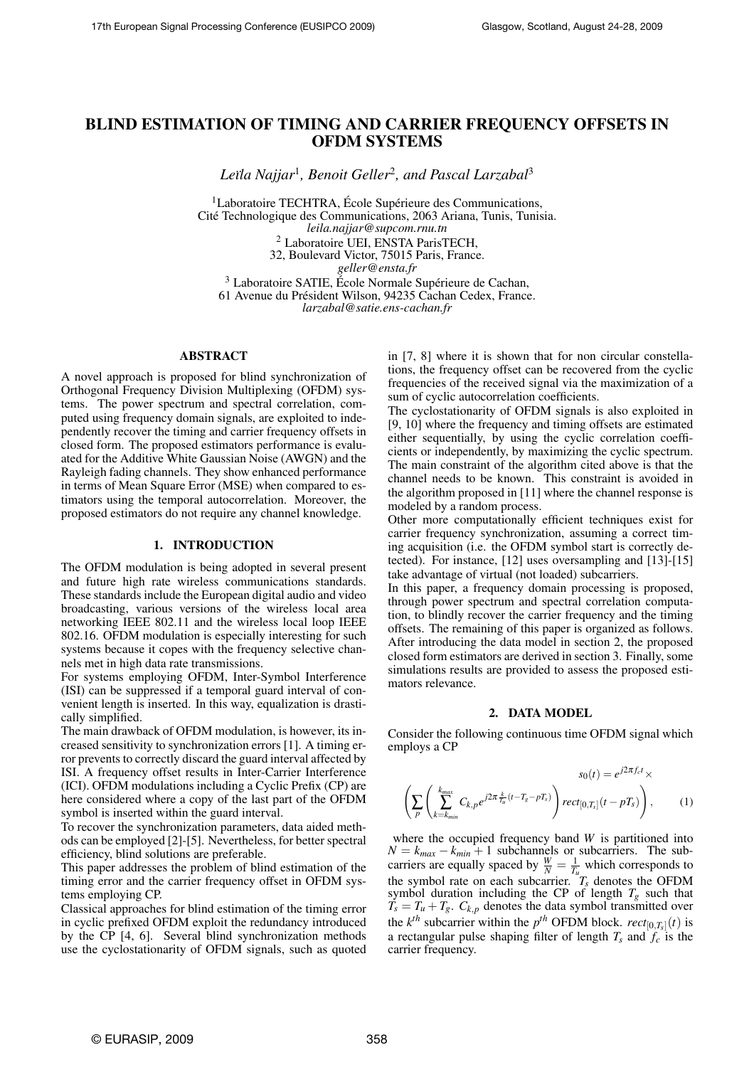# BLIND ESTIMATION OF TIMING AND CARRIER FREQUENCY OFFSETS IN OFDM SYSTEMS

*Le¨ıla Najjar*<sup>1</sup> *, Benoit Geller*<sup>2</sup> *, and Pascal Larzabal*<sup>3</sup>

 ${}^{1}$ Laboratoire TECHTRA, École Supérieure des Communications. Cite Technologique des Communications, 2063 Ariana, Tunis, Tunisia. ´ *leila.najjar@supcom.rnu.tn* <sup>2</sup> Laboratoire UEI, ENSTA ParisTECH, 32, Boulevard Victor, 75015 Paris, France. *geller@ensta.fr* <sup>3</sup> Laboratoire SATIE, École Normale Supérieure de Cachan,

61 Avenue du Président Wilson, 94235 Cachan Cedex, France.

*larzabal@satie.ens-cachan.fr*

## ABSTRACT

A novel approach is proposed for blind synchronization of Orthogonal Frequency Division Multiplexing (OFDM) systems. The power spectrum and spectral correlation, computed using frequency domain signals, are exploited to independently recover the timing and carrier frequency offsets in closed form. The proposed estimators performance is evaluated for the Additive White Gaussian Noise (AWGN) and the Rayleigh fading channels. They show enhanced performance in terms of Mean Square Error (MSE) when compared to estimators using the temporal autocorrelation. Moreover, the proposed estimators do not require any channel knowledge.

#### 1. INTRODUCTION

The OFDM modulation is being adopted in several present and future high rate wireless communications standards. These standards include the European digital audio and video broadcasting, various versions of the wireless local area networking IEEE 802.11 and the wireless local loop IEEE 802.16. OFDM modulation is especially interesting for such systems because it copes with the frequency selective channels met in high data rate transmissions.

For systems employing OFDM, Inter-Symbol Interference (ISI) can be suppressed if a temporal guard interval of convenient length is inserted. In this way, equalization is drastically simplified.

The main drawback of OFDM modulation, is however, its increased sensitivity to synchronization errors [1]. A timing error prevents to correctly discard the guard interval affected by ISI. A frequency offset results in Inter-Carrier Interference (ICI). OFDM modulations including a Cyclic Prefix (CP) are here considered where a copy of the last part of the OFDM symbol is inserted within the guard interval.

To recover the synchronization parameters, data aided methods can be employed [2]-[5]. Nevertheless, for better spectral efficiency, blind solutions are preferable.

This paper addresses the problem of blind estimation of the timing error and the carrier frequency offset in OFDM systems employing CP.

Classical approaches for blind estimation of the timing error in cyclic prefixed OFDM exploit the redundancy introduced by the CP [4, 6]. Several blind synchronization methods use the cyclostationarity of OFDM signals, such as quoted in [7, 8] where it is shown that for non circular constellations, the frequency offset can be recovered from the cyclic frequencies of the received signal via the maximization of a sum of cyclic autocorrelation coefficients.

The cyclostationarity of OFDM signals is also exploited in [9, 10] where the frequency and timing offsets are estimated either sequentially, by using the cyclic correlation coefficients or independently, by maximizing the cyclic spectrum. The main constraint of the algorithm cited above is that the channel needs to be known. This constraint is avoided in the algorithm proposed in [11] where the channel response is modeled by a random process.

Other more computationally efficient techniques exist for carrier frequency synchronization, assuming a correct timing acquisition (i.e. the OFDM symbol start is correctly detected). For instance, [12] uses oversampling and [13]-[15] take advantage of virtual (not loaded) subcarriers.

In this paper, a frequency domain processing is proposed, through power spectrum and spectral correlation computation, to blindly recover the carrier frequency and the timing offsets. The remaining of this paper is organized as follows. After introducing the data model in section 2, the proposed closed form estimators are derived in section 3. Finally, some simulations results are provided to assess the proposed estimators relevance.

#### 2. DATA MODEL

Consider the following continuous time OFDM signal which employs a CP

$$
s_0(t) = e^{j2\pi f_c t} \times
$$

$$
\left(\sum_{p} \left(\sum_{k=k_{min}}^{k_{max}} C_{k,p} e^{j2\pi \frac{k}{T_u}(t-T_g-pT_s)}\right) rect_{[0,T_s]}(t-pT_s)\right), \qquad (1)
$$

where the occupied frequency band *W* is partitioned into  $N = k_{max} - k_{min} + 1$  subchannels or subcarriers. The subcarriers are equally spaced by  $\frac{W}{N} = \frac{1}{T_u}$  which corresponds to the symbol rate on each subcarrier.  $T_s$  denotes the OFDM symbol duration including the CP of length  $T_g$  such that  $T_s = T_u + T_g$ .  $C_{k,p}$  denotes the data symbol transmitted over the  $k^{th}$  subcarrier within the  $p^{th}$  OFDM block.  $rect_{[0,T_s]}(t)$  is a rectangular pulse shaping filter of length  $T_s$  and  $\overline{f_c}$  is the carrier frequency.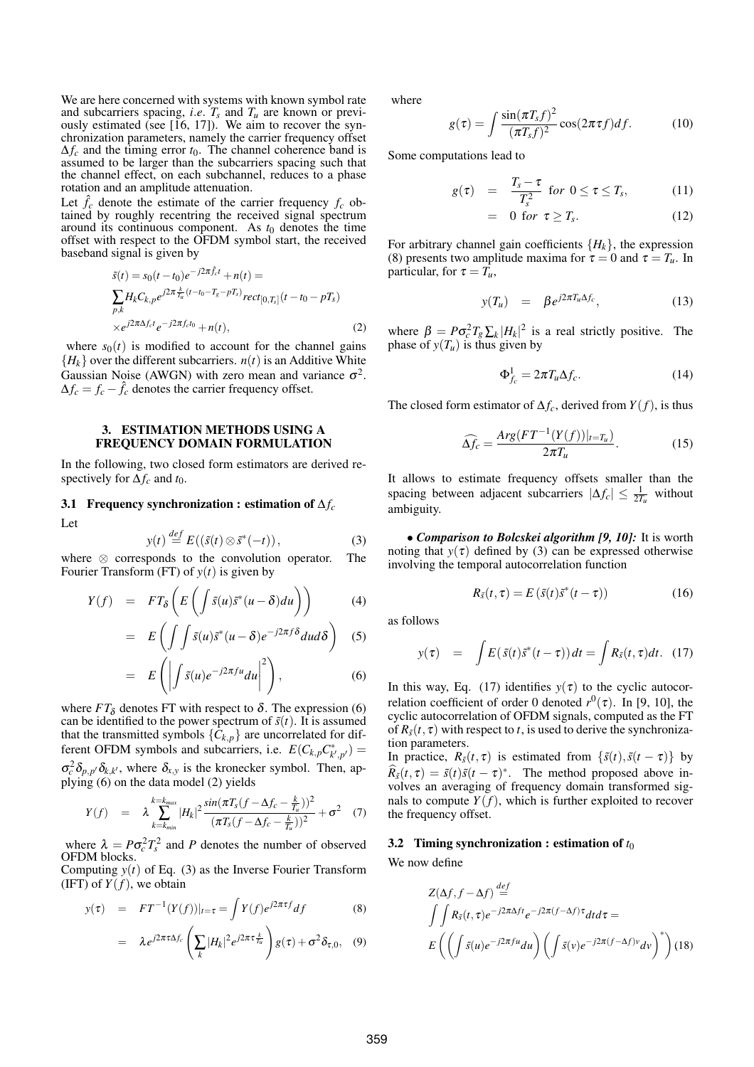We are here concerned with systems with known symbol rate and subcarriers spacing, *i.e.*  $T_s$  and  $T_u$  are known or previously estimated (see  $[16, 17]$ ). We aim to recover the synchronization parameters, namely the carrier frequency offset  $\Delta f_c$  and the timing error  $t_0$ . The channel coherence band is assumed to be larger than the subcarriers spacing such that the channel effect, on each subchannel, reduces to a phase rotation and an amplitude attenuation.

Let  $\hat{f}_c$  denote the estimate of the carrier frequency  $f_c$  obtained by roughly recentring the received signal spectrum around its continuous component. As  $t_0$  denotes the time offset with respect to the OFDM symbol start, the received baseband signal is given by

$$
\begin{aligned} \tilde{s}(t) &= s_0(t - t_0)e^{-j2\pi \hat{f}_c t} + n(t) = \\ \sum_{p,k} H_k C_{k,p} e^{j2\pi \frac{k}{T_u}(t - t_0 - T_s - pT_s)} rect_{[0,T_s]}(t - t_0 - pT_s) \\ &\times e^{j2\pi \Delta f_c t} e^{-j2\pi f_c t_0} + n(t), \end{aligned} \tag{2}
$$

where  $s_0(t)$  is modified to account for the channel gains  ${H<sub>k</sub>}$  over the different subcarriers. *n*(*t*) is an Additive White Gaussian Noise (AWGN) with zero mean and variance  $\sigma^2$ .  $\Delta f_c = f_c - \hat{f}_c$  denotes the carrier frequency offset.

#### 3. ESTIMATION METHODS USING A FREQUENCY DOMAIN FORMULATION

In the following, two closed form estimators are derived respectively for  $\Delta f_c$  and  $t_0$ .

# 3.1 Frequency synchronization : estimation of ∆*f<sup>c</sup>*

Let

$$
y(t) \stackrel{def}{=} E((\tilde{s}(t) \otimes \tilde{s}^*(-t)), \qquad (3)
$$

where ⊗ corresponds to the convolution operator. The Fourier Transform (FT) of  $y(t)$  is given by

$$
Y(f) = FT_{\delta}\left(E\left(\int \tilde{s}(u)\tilde{s}^{*}(u-\delta)du\right)\right) \tag{4}
$$

$$
= E\left(\int \int \tilde{s}(u)\tilde{s}^*(u-\delta)e^{-j2\pi f\delta}dud\delta\right) \quad (5)
$$

$$
= E\left(\left|\int \tilde{s}(u)e^{-j2\pi fu}du\right|^2\right),\tag{6}
$$

where  $FT_{\delta}$  denotes FT with respect to  $\delta$ . The expression (6) can be identified to the power spectrum of  $\tilde{s}(t)$ . It is assumed that the transmitted symbols  ${C_{k,p}}$  are uncorrelated for different OFDM symbols and subcarriers, i.e.  $E(C_{k,p}C_{k',p'}^*)$  =  $\sigma_c^2 \delta_{p,p'} \delta_{k,k'}$ , where  $\delta_{x,y}$  is the kronecker symbol. Then, applying (6) on the data model (2) yields

$$
Y(f) = \lambda \sum_{k=k_{min}}^{k=k_{max}} |H_k|^2 \frac{\sin(\pi T_s (f - \Delta f_c - \frac{k}{T_u}))^2}{(\pi T_s (f - \Delta f_c - \frac{k}{T_u}))^2} + \sigma^2 \quad (7)
$$

where  $\lambda = P \sigma_c^2 T_s^2$  and *P* denotes the number of observed OFDM blocks.

Computing  $y(t)$  of Eq. (3) as the Inverse Fourier Transform (IFT) of  $Y(f)$ , we obtain

$$
y(\tau) = FT^{-1}(Y(f))|_{t=\tau} = \int Y(f)e^{j2\pi\tau f}df
$$
 (8)

$$
= \lambda e^{j2\pi\tau\Delta f_c}\left(\sum_k |H_k|^2 e^{j2\pi\tau\frac{k}{T_{li}}}\right)g(\tau)+\sigma^2\delta_{\tau,0},\quad (9)
$$

where

$$
g(\tau) = \int \frac{\sin(\pi T_s f)^2}{(\pi T_s f)^2} \cos(2\pi \tau f) df.
$$
 (10)

Some computations lead to

$$
g(\tau) = \frac{T_s - \tau}{T_s^2} \text{ for } 0 \le \tau \le T_s,
$$
 (11)

$$
= 0 \text{ for } \tau \ge T_s. \tag{12}
$$

For arbitrary channel gain coefficients  $\{H_k\}$ , the expression (8) presents two amplitude maxima for  $\tau = 0$  and  $\tau = T_u$ . In particular, for  $\tau = T_u$ ,

$$
y(T_u) = \beta e^{j2\pi T_u \Delta f_c}, \qquad (13)
$$

where  $\beta = P \sigma_c^2 T_g \sum_k |H_k|^2$  is a real strictly positive. The phase of  $y(T_u)$  is thus given by

$$
\Phi_{f_c}^1 = 2\pi T_u \Delta f_c. \tag{14}
$$

The closed form estimator of  $\Delta f_c$ , derived from *Y*(*f*), is thus

$$
\widehat{\Delta f_c} = \frac{Arg(FT^{-1}(Y(f))|_{t=T_u})}{2\pi T_u}.
$$
\n(15)

It allows to estimate frequency offsets smaller than the spacing between adjacent subcarriers  $|\Delta f_c| \leq \frac{1}{2T_u}$  without ambiguity.

• *Comparison to Bolcskei algorithm [9, 10]:* It is worth noting that  $v(\tau)$  defined by (3) can be expressed otherwise involving the temporal autocorrelation function

$$
R_{\tilde{s}}(t,\tau) = E(\tilde{s}(t)\tilde{s}^*(t-\tau))
$$
\n(16)

as follows

$$
y(\tau) = \int E(\tilde{s}(t)\tilde{s}^*(t-\tau)) dt = \int R_{\tilde{s}}(t,\tau) dt. \quad (17)
$$

In this way, Eq. (17) identifies  $y(\tau)$  to the cyclic autocorrelation coefficient of order 0 denoted  $r^0(\tau)$ . In [9, 10], the cyclic autocorrelation of OFDM signals, computed as the FT of  $R_{\tilde{s}}(t, \tau)$  with respect to *t*, is used to derive the synchronization parameters.

In practice,  $R_{\tilde{s}}(t, \tau)$  is estimated from  $\{\tilde{s}(t), \tilde{s}(t - \tau)\}$  by  $\widehat{R}_{\tilde{s}}(t,\tau) = \tilde{s}(t)\tilde{s}(t-\tau)^*$ . The method proposed above involves an averaging of frequency domain transformed signals to compute  $Y(f)$ , which is further exploited to recover the frequency offset.

#### 3.2 Timing synchronization : estimation of  $t_0$

We now define

$$
Z(\Delta f, f - \Delta f) \stackrel{def}{=} \int \int R_{\bar{s}}(t, \tau) e^{-j2\pi\Delta ft} e^{-j2\pi(f - \Delta f)\tau} dt d\tau =
$$

$$
E\left(\left(\int \tilde{s}(u) e^{-j2\pi fu} du\right) \left(\int \tilde{s}(v) e^{-j2\pi(f - \Delta f)v} dv\right)^*\right)
$$
(18)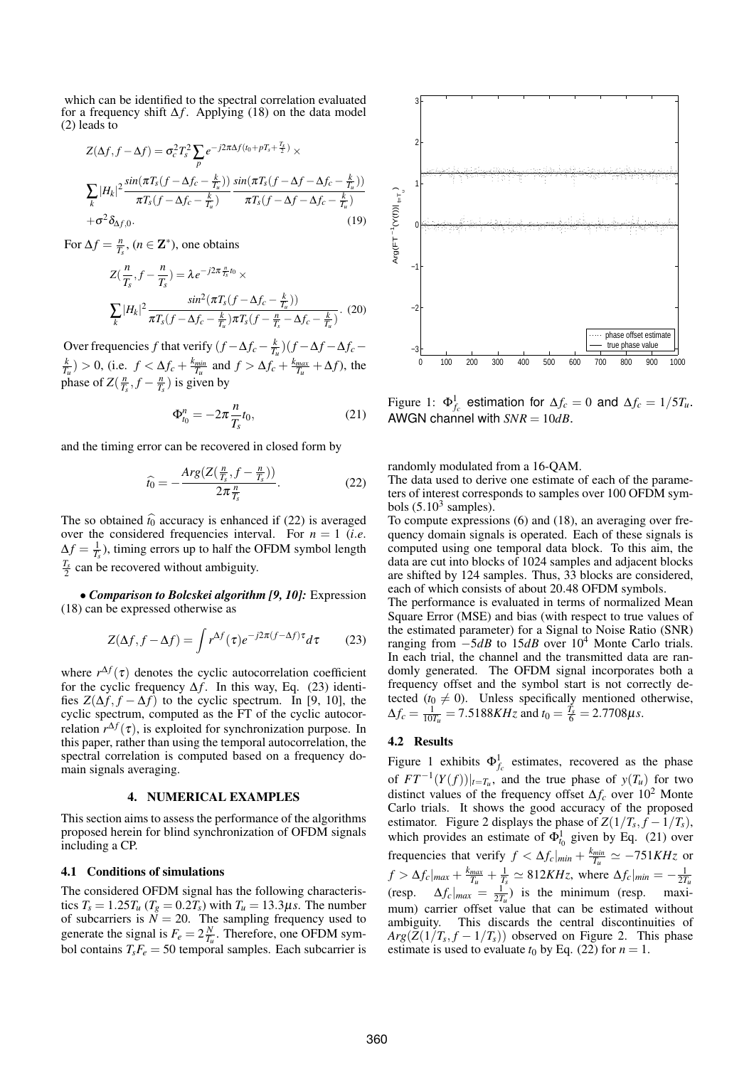which can be identified to the spectral correlation evaluated for a frequency shift ∆*f* . Applying (18) on the data model (2) leads to

$$
Z(\Delta f, f - \Delta f) = \sigma_c^2 T_s^2 \sum_p e^{-j2\pi\Delta f (t_0 + pT_s + \frac{T_s}{2})} \times
$$
  

$$
\sum_k |H_k|^2 \frac{\sin(\pi T_s (f - \Delta f_c - \frac{k}{T_u}))}{\pi T_s (f - \Delta f_c - \frac{k}{T_u})} \frac{\sin(\pi T_s (f - \Delta f - \Delta f_c - \frac{k}{T_u}))}{\pi T_s (f - \Delta f - \Delta f_c - \frac{k}{T_u})}
$$
  
+
$$
\sigma^2 \delta_{\Delta f, 0}.
$$
 (19)

For  $\Delta f = \frac{n}{T_s}$ ,  $(n \in \mathbb{Z}^*)$ , one obtains

$$
Z(\frac{n}{T_s}, f - \frac{n}{T_s}) = \lambda e^{-j2\pi \frac{n}{T_s} t_0} \times
$$

$$
\sum_{k} |H_k|^2 \frac{\sin^2(\pi T_s (f - \Delta f_c - \frac{k}{T_u}))}{\pi T_s (f - \Delta f_c - \frac{k}{T_u}) \pi T_s (f - \frac{n}{T_s} - \Delta f_c - \frac{k}{T_u})}. (20)
$$

Over frequencies *f* that verify  $(f - \Delta f_c - \frac{k}{T_u})(f - \Delta f - \Delta f_c \frac{k}{T_u}$ ) > 0, (i.e.  $f < \Delta f_c + \frac{k_{min}}{T_u}$  and  $f > \Delta f_c + \frac{k_{max}}{T_u} + \Delta f$ ), the phase of  $Z(\frac{n}{T_s}, f - \frac{n}{T_s})$  is given by

$$
\Phi_{t_0}^n = -2\pi \frac{n}{T_s} t_0,\tag{21}
$$

and the timing error can be recovered in closed form by

$$
\widehat{t_0} = -\frac{\text{Arg}\big(Z\big(\frac{n}{T_s}, f - \frac{n}{T_s}\big)\big)}{2\pi \frac{n}{T_s}}.\tag{22}
$$

The so obtained  $\hat{t}_0$  accuracy is enhanced if (22) is averaged over the considered frequencies interval. For  $n = 1$  (*i.e.*  $\Delta f = \frac{1}{T_s}$ , timing errors up to half the OFDM symbol length  $\frac{T_s}{2}$  can be recovered without ambiguity.

• *Comparison to Bolcskei algorithm [9, 10]:* Expression (18) can be expressed otherwise as

$$
Z(\Delta f, f - \Delta f) = \int r^{\Delta f}(\tau) e^{-j2\pi (f - \Delta f)\tau} d\tau \qquad (23)
$$

where  $r^{\Delta f}(\tau)$  denotes the cyclic autocorrelation coefficient for the cyclic frequency ∆*f* . In this way, Eq. (23) identifies  $Z(\Delta f, f - \Delta f)$  to the cyclic spectrum. In [9, 10], the cyclic spectrum, computed as the FT of the cyclic autocorrelation  $r^{\Delta f}(\tau)$ , is exploited for synchronization purpose. In this paper, rather than using the temporal autocorrelation, the spectral correlation is computed based on a frequency domain signals averaging.

### 4. NUMERICAL EXAMPLES

This section aims to assess the performance of the algorithms proposed herein for blind synchronization of OFDM signals including a CP.

#### 4.1 Conditions of simulations

The considered OFDM signal has the following characteristics  $T_s = 1.25T_u$  ( $T_g = 0.2T_s$ ) with  $T_u = 13.3\mu s$ . The number of subcarriers is  $\mathcal{N} = 20$ . The sampling frequency used to generate the signal is  $F_e = 2\frac{N}{T_u}$ . Therefore, one OFDM symbol contains  $T_sF_e = 50$  temporal samples. Each subcarrier is



Figure 1:  $\Phi_{f_c}^1$  estimation for  $\Delta f_c = 0$  and  $\Delta f_c = 1/5T_u$ . AWGN channel with *SNR* = 10*dB*.

randomly modulated from a 16-QAM.

The data used to derive one estimate of each of the parameters of interest corresponds to samples over 100 OFDM symbols  $(5.10^3 \text{ samples})$ .

To compute expressions (6) and (18), an averaging over frequency domain signals is operated. Each of these signals is computed using one temporal data block. To this aim, the data are cut into blocks of 1024 samples and adjacent blocks are shifted by 124 samples. Thus, 33 blocks are considered, each of which consists of about 20.48 OFDM symbols.

The performance is evaluated in terms of normalized Mean Square Error (MSE) and bias (with respect to true values of the estimated parameter) for a Signal to Noise Ratio (SNR) ranging from −5*dB* to 15*dB* over 10<sup>4</sup> Monte Carlo trials. In each trial, the channel and the transmitted data are randomly generated. The OFDM signal incorporates both a frequency offset and the symbol start is not correctly detected  $(t_0 \neq 0)$ . Unless specifically mentioned otherwise,  $\Delta f_c = \frac{1}{10T_u} = 7.5188KHz$  and  $t_0 = \frac{\dot{T}_s}{6} = 2.7708\mu s$ .

#### 4.2 Results

Figure 1 exhibits  $\Phi_{f_c}^1$  estimates, recovered as the phase of  $FT^{-1}(Y(f))|_{t=T_u}$ , and the true phase of  $y(T_u)$  for two distinct values of the frequency offset ∆*f<sup>c</sup>* over 10<sup>2</sup> Monte Carlo trials. It shows the good accuracy of the proposed estimator. Figure 2 displays the phase of  $Z(1/T_s, f - 1/T_s)$ , which provides an estimate of  $\Phi_{t_0}^1$  given by Eq. (21) over frequencies that verify  $f < \Delta f_c|_{min} + \frac{k_{min}}{T_u} \simeq -751KHz$  or  $f > \Delta f_c|_{max} + \frac{k_{max}}{T_u} + \frac{1}{T_s} \simeq 812KHz$ , where  $\Delta f_c|_{min} = -\frac{1}{2T_u}$ (resp.  $\Delta f_c|_{max} = \frac{1}{2T_u}$ ) is the minimum (resp. maximum) carrier offset value that can be estimated without ambiguity. This discards the central discontinuities of  $Arg(Z(1/T_s, f - 1/T_s))$  observed on Figure 2. This phase estimate is used to evaluate  $t_0$  by Eq. (22) for  $n = 1$ .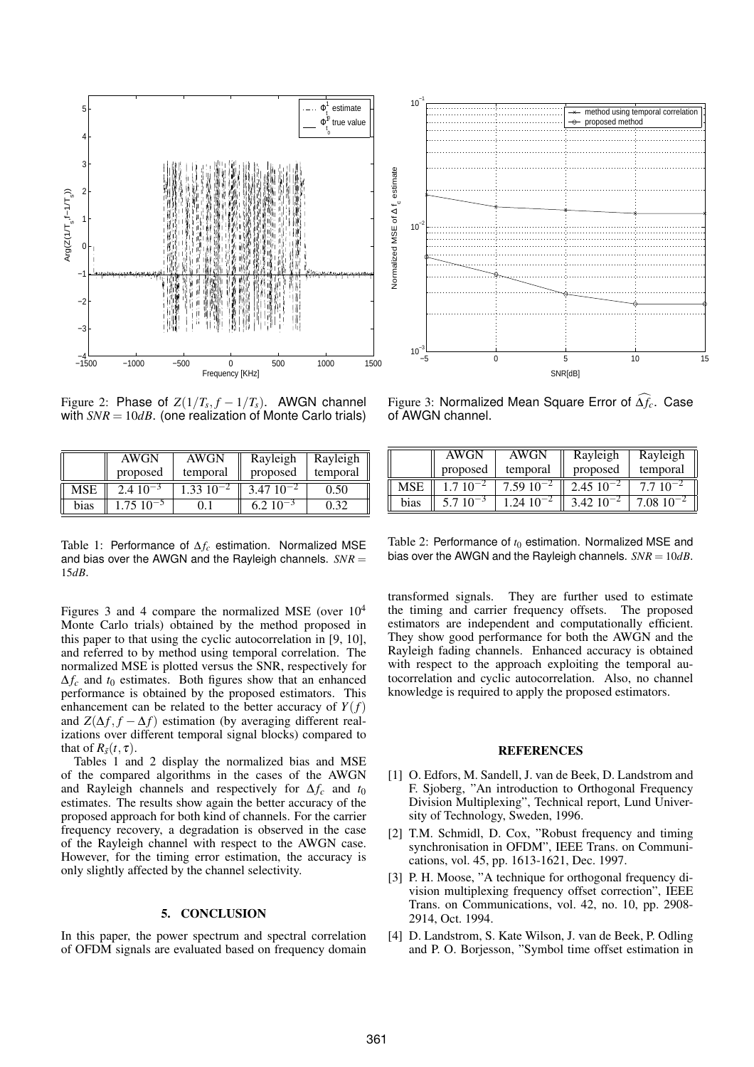

Figure 2: Phase of  $Z(1/T_s, f - 1/T_s)$ . AWGN channel with  $SNR = 10dB$ . (one realization of Monte Carlo trials)

|            | <b>AWGN</b>       | AWGN                      | Rayleigh      | Rayleigh |
|------------|-------------------|---------------------------|---------------|----------|
|            | proposed          | temporal                  | proposed      | temporal |
| <b>MSE</b> | $2.4 \, 10^{-3}$  | $1.33 \overline{10^{-2}}$ | $3.4710^{-2}$ | 0.50     |
| bias       | $1.75 \; 10^{-5}$ |                           | $6.2~10^{-3}$ | በ 32     |

Table 1: Performance of ∆*f<sup>c</sup>* estimation. Normalized MSE and bias over the AWGN and the Rayleigh channels. *SNR* = 15*dB*.

Figures 3 and 4 compare the normalized MSE (over 10<sup>4</sup> Monte Carlo trials) obtained by the method proposed in this paper to that using the cyclic autocorrelation in [9, 10], and referred to by method using temporal correlation. The normalized MSE is plotted versus the SNR, respectively for  $\Delta f_c$  and  $t_0$  estimates. Both figures show that an enhanced performance is obtained by the proposed estimators. This enhancement can be related to the better accuracy of  $Y(f)$ and  $Z(\Delta f, f - \Delta f)$  estimation (by averaging different realizations over different temporal signal blocks) compared to that of  $R_{\tilde{s}}(t, \tau)$ .

Tables 1 and 2 display the normalized bias and MSE of the compared algorithms in the cases of the AWGN and Rayleigh channels and respectively for  $\Delta f_c$  and  $t_0$ estimates. The results show again the better accuracy of the proposed approach for both kind of channels. For the carrier frequency recovery, a degradation is observed in the case of the Rayleigh channel with respect to the AWGN case. However, for the timing error estimation, the accuracy is only slightly affected by the channel selectivity.

#### 5. CONCLUSION

In this paper, the power spectrum and spectral correlation of OFDM signals are evaluated based on frequency domain



Figure 3: Normalized Mean Square Error of  $\widehat{\Delta f_c}$ . Case of AWGN channel.

|      | AWGN          | AWGN                 | Rayleigh        | Rayleigh          |
|------|---------------|----------------------|-----------------|-------------------|
|      | proposed      | temporal             | proposed        | temporal          |
| MSE  | $1.7 10^{-2}$ | $7.5910^{-2}$        | $2.45\ 10^{-2}$ | $7.710^{-2}$      |
| bias | $5.710^{-3}$  | $1.24 \cdot 10^{-2}$ | $3.42~10^{-2}$  | $7.08 \; 10^{-2}$ |

Table 2: Performance of  $t_0$  estimation. Normalized MSE and bias over the AWGN and the Rayleigh channels. *SNR* = 10*dB*.

transformed signals. They are further used to estimate the timing and carrier frequency offsets. The proposed estimators are independent and computationally efficient. They show good performance for both the AWGN and the Rayleigh fading channels. Enhanced accuracy is obtained with respect to the approach exploiting the temporal autocorrelation and cyclic autocorrelation. Also, no channel knowledge is required to apply the proposed estimators.

#### **REFERENCES**

- [1] O. Edfors, M. Sandell, J. van de Beek, D. Landstrom and F. Sjoberg, "An introduction to Orthogonal Frequency Division Multiplexing", Technical report, Lund University of Technology, Sweden, 1996.
- [2] T.M. Schmidl, D. Cox, "Robust frequency and timing synchronisation in OFDM", IEEE Trans. on Communications, vol. 45, pp. 1613-1621, Dec. 1997.
- [3] P. H. Moose, "A technique for orthogonal frequency division multiplexing frequency offset correction", IEEE Trans. on Communications, vol. 42, no. 10, pp. 2908- 2914, Oct. 1994.
- [4] D. Landstrom, S. Kate Wilson, J. van de Beek, P. Odling and P. O. Borjesson, "Symbol time offset estimation in